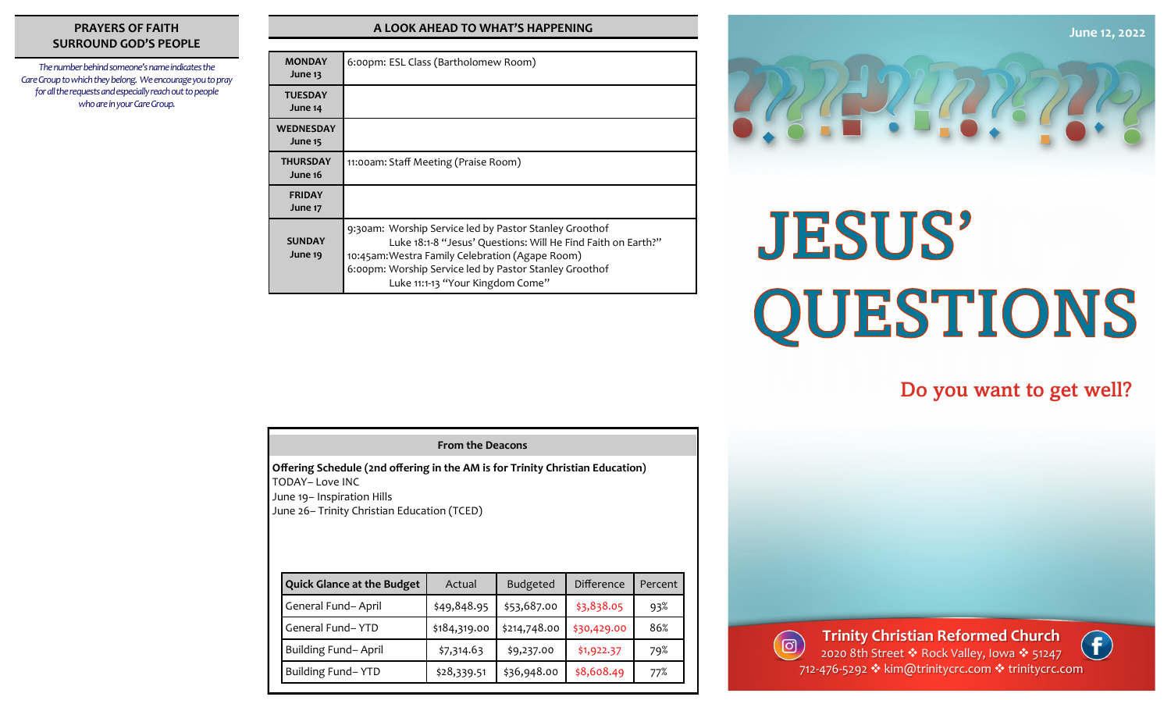#### **PRAYERS OF FAITH SURROUND GOD'S PEOPLE**

*The number behind someone's name indicates the Care Group to which they belong. We encourage you to pray for all the requests and especially reach out to people who are in your Care Group.* 

#### **A LOOK AHEAD TO WHAT'S HAPPENING**

| <b>MONDAY</b><br>June 13    | 6:00pm: ESL Class (Bartholomew Room)                                                                                                                                                                                                                                    |  |
|-----------------------------|-------------------------------------------------------------------------------------------------------------------------------------------------------------------------------------------------------------------------------------------------------------------------|--|
| <b>TUESDAY</b><br>June 14   |                                                                                                                                                                                                                                                                         |  |
| <b>WEDNESDAY</b><br>June 15 |                                                                                                                                                                                                                                                                         |  |
| <b>THURSDAY</b><br>June 16  | 11:00am: Staff Meeting (Praise Room)                                                                                                                                                                                                                                    |  |
| <b>FRIDAY</b><br>June 17    |                                                                                                                                                                                                                                                                         |  |
| <b>SUNDAY</b><br>June 19    | 9:30am: Worship Service led by Pastor Stanley Groothof<br>Luke 18:1-8 "Jesus' Questions: Will He Find Faith on Earth?"<br>10:45am: Westra Family Celebration (Agape Room)<br>6:00pm: Worship Service led by Pastor Stanley Groothof<br>Luke 11:1-13 "Your Kingdom Come" |  |



# **JESUS'** QUESTIONS

### Do you want to get well?

| Offering Schedule (2nd offering in the AM is for Trinity Christian Education)<br>TODAY– Love INC<br>June 19- Inspiration Hills<br>June 26-Trinity Christian Education (TCED) |                                   |              |                 |                   |         |  |  |
|------------------------------------------------------------------------------------------------------------------------------------------------------------------------------|-----------------------------------|--------------|-----------------|-------------------|---------|--|--|
|                                                                                                                                                                              | <b>Quick Glance at the Budget</b> | Actual       | <b>Budgeted</b> | <b>Difference</b> | Percent |  |  |
|                                                                                                                                                                              | General Fund-April                | \$49,848.95  | \$53,687.00     | \$3,838.05        | 93%     |  |  |
|                                                                                                                                                                              | General Fund-YTD                  | \$184,319.00 | \$214,748.00    | \$30,429.00       | 86%     |  |  |
|                                                                                                                                                                              | Building Fund-April               | \$7,314.63   | \$9,237.00      | \$1,922.37        | 79%     |  |  |
|                                                                                                                                                                              | Building Fund-YTD                 | \$28,339.51  | \$36,948.00     | \$8,608.49        | 77%     |  |  |
|                                                                                                                                                                              |                                   |              |                 |                   |         |  |  |

**From the Deacons**



712-476-5292 ❖ kim@trinitycrc.com ❖ trinitycrc.com